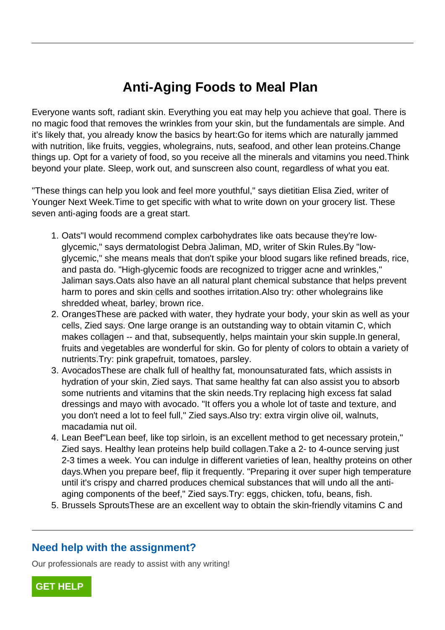## **Anti-Aging Foods to Meal Plan**

Everyone wants soft, radiant skin. Everything you eat may help you achieve that goal. There is no magic food that removes the wrinkles from your skin, but the fundamentals are simple. And it's likely that, you already know the basics by heart:Go for items which are naturally jammed with nutrition, like fruits, veggies, wholegrains, nuts, seafood, and other lean proteins.Change things up. Opt for a variety of food, so you receive all the minerals and vitamins you need.Think beyond your plate. Sleep, work out, and sunscreen also count, regardless of what you eat.

"These things can help you look and feel more youthful," says dietitian Elisa Zied, writer of Younger Next Week.Time to get specific with what to write down on your grocery list. These seven anti-aging foods are a great start.

- 1. Oats"I would recommend complex carbohydrates like oats because they're lowglycemic," says dermatologist Debra Jaliman, MD, writer of Skin Rules.By "lowglycemic," she means meals that don't spike your blood sugars like refined breads, rice, and pasta do. "High-glycemic foods are recognized to trigger acne and wrinkles," Jaliman says.Oats also have an all natural plant chemical substance that helps prevent harm to pores and skin cells and soothes irritation.Also try: other wholegrains like shredded wheat, barley, brown rice. ts"I would recommend complex carbot<br>cemic," says dermatologist Debra Jalir<br>cemic," she means meals that don't sp<br>d pasta do. "High-glycemic foods are re<br>iman says.Oats also have an all natura<br>rm to pores and skin cells and
- 2. OrangesThese are packed with water, they hydrate your body, your skin as well as your cells, Zied says. One large orange is an outstanding way to obtain vitamin C, which makes collagen -- and that, subsequently, helps maintain your skin supple.In general, fruits and vegetables are wonderful for skin. Go for plenty of colors to obtain a variety of nutrients.Try: pink grapefruit, tomatoes, parsley.
- 3. AvocadosThese are chalk full of healthy fat, monounsaturated fats, which assists in hydration of your skin, Zied says. That same healthy fat can also assist you to absorb some nutrients and vitamins that the skin needs.Try replacing high excess fat salad dressings and mayo with avocado. "It offers you a whole lot of taste and texture, and you don't need a lot to feel full," Zied says.Also try: extra virgin olive oil, walnuts, macadamia nut oil.
- 4. Lean Beef"Lean beef, like top sirloin, is an excellent method to get necessary protein," Zied says. Healthy lean proteins help build collagen.Take a 2- to 4-ounce serving just 2-3 times a week. You can indulge in different varieties of lean, healthy proteins on other days.When you prepare beef, flip it frequently. "Preparing it over super high temperature until it's crispy and charred produces chemical substances that will undo all the antiaging components of the beef," Zied says.Try: eggs, chicken, tofu, beans, fish.
- 5. Brussels SproutsThese are an excellent way to obtain the skin-friendly vitamins C and

## **Need help with the assignment?**

Our professionals are ready to assist with any writing!

**[GET HELP](https://my.gradesfixer.com/order?utm_campaign=pdf_sample)**